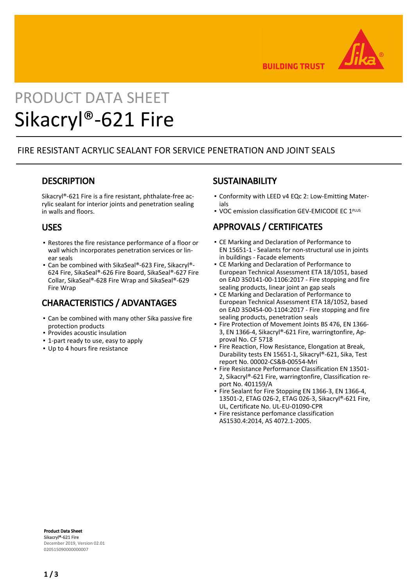

**BUILDING TRUST** 

# PRODUCT DATA SHEET Sikacryl®-621 Fire

## FIRE RESISTANT ACRYLIC SEALANT FOR SERVICE PENETRATION AND JOINT SEALS

## **DESCRIPTION**

Sikacryl®-621 Fire is a fire resistant, phthalate-free acrylic sealant for interior joints and penetration sealing in walls and floors.

### USES

- **Restores the fire resistance performance of a floor or** wall which incorporates penetration services or linear seals
- Can be combined with SikaSeal®-623 Fire, Sikacryl®-624 Fire, SikaSeal®-626 Fire Board, SikaSeal®-627 Fire Collar, SikaSeal®-628 Fire Wrap and SikaSeal®-629 Fire Wrap

# CHARACTERISTICS / ADVANTAGES

- Can be combined with many other Sika passive fire protection products
- Provides acoustic insulation
- 1-part ready to use, easy to apply
- Up to 4 hours fire resistance

## **SUSTAINABILITY**

- Conformity with LEED v4 EQc 2: Low-Emitting Mater-▪ ials
- VOC emission classification GEV-EMICODE EC 1PLUS

# APPROVALS / CERTIFICATES

- **CE Marking and Declaration of Performance to** EN 15651-1 - Sealants for non-structural use in joints in buildings - Facade elements
- **CE Marking and Declaration of Performance to** European Technical Assessment ETA 18/1051, based on EAD 350141-00-1106:2017 - Fire stopping and fire sealing products, linear joint an gap seals
- **CE Marking and Declaration of Performance to** European Technical Assessment ETA 18/1052, based on EAD 350454-00-1104:2017 - Fire stopping and fire sealing products, penetration seals
- Fire Protection of Movement Joints BS 476, EN 1366-3, EN 1366-4, Sikacryl®-621 Fire, warringtonfire, Approval No. CF 5718
- **· Fire Reaction, Flow Resistance, Elongation at Break,** Durability tests EN 15651-1, Sikacryl®-621, Sika, Test report No. 00002-CS&B-00554-Mri
- **Fire Resistance Performance Classification EN 13501-**2, Sikacryl®-621 Fire, warringtonfire, Classification report No. 401159/A
- **Fire Sealant for Fire Stopping EN 1366-3, EN 1366-4,** 13501-2, ETAG 026-2, ETAG 026-3, Sikacryl®-621 Fire, UL, Certificate No. UL-EU-01090-CPR
- **·** Fire resistance perfomance classification AS1530.4:2014, AS 4072.1-2005.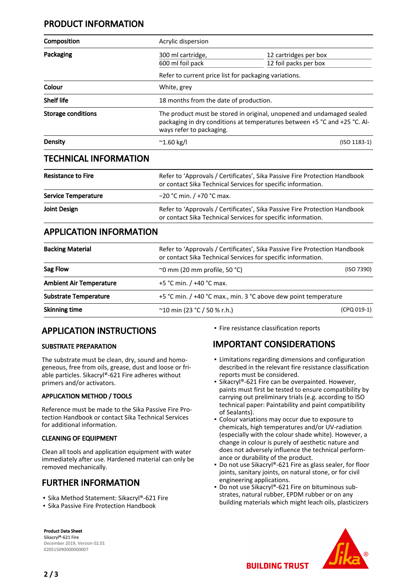## PRODUCT INFORMATION

| Composition                    | Acrylic dispersion                                                                                                                         |                                                                                                                                                    |  |
|--------------------------------|--------------------------------------------------------------------------------------------------------------------------------------------|----------------------------------------------------------------------------------------------------------------------------------------------------|--|
| Packaging                      | 300 ml cartridge,                                                                                                                          | 12 cartridges per box                                                                                                                              |  |
|                                | 600 ml foil pack                                                                                                                           | 12 foil packs per box                                                                                                                              |  |
|                                | Refer to current price list for packaging variations.                                                                                      |                                                                                                                                                    |  |
| Colour                         | White, grey                                                                                                                                |                                                                                                                                                    |  |
| <b>Shelf life</b>              |                                                                                                                                            | 18 months from the date of production.                                                                                                             |  |
| <b>Storage conditions</b>      | ways refer to packaging.                                                                                                                   | The product must be stored in original, unopened and undamaged sealed<br>packaging in dry conditions at temperatures between +5 °C and +25 °C. Al- |  |
| <b>Density</b>                 | $^{\sim}$ 1.60 kg/l                                                                                                                        | $(ISO 1183-1)$                                                                                                                                     |  |
| <b>TECHNICAL INFORMATION</b>   |                                                                                                                                            |                                                                                                                                                    |  |
| <b>Resistance to Fire</b>      |                                                                                                                                            | Refer to 'Approvals / Certificates', Sika Passive Fire Protection Handbook<br>or contact Sika Technical Services for specific information.         |  |
| <b>Service Temperature</b>     | -20 °C min. / +70 °C max.                                                                                                                  |                                                                                                                                                    |  |
| <b>Joint Design</b>            | Refer to 'Approvals / Certificates', Sika Passive Fire Protection Handbook<br>or contact Sika Technical Services for specific information. |                                                                                                                                                    |  |
| <b>APPLICATION INFORMATION</b> |                                                                                                                                            |                                                                                                                                                    |  |
| <b>Backing Material</b>        |                                                                                                                                            | Refer to 'Approvals / Certificates', Sika Passive Fire Protection Handbook<br>or contact Sika Technical Services for specific information.         |  |
| Sag Flow                       | $\sim$ 0 mm (20 mm profile, 50 °C)                                                                                                         | (ISO 7390)                                                                                                                                         |  |
| <b>Ambient Air Temperature</b> | +5 °C min. / +40 °C max.                                                                                                                   |                                                                                                                                                    |  |
| <b>Substrate Temperature</b>   |                                                                                                                                            | +5 °C min. / +40 °C max., min. 3 °C above dew point temperature                                                                                    |  |
| <b>Skinning time</b>           | $^{\sim}$ 10 min (23 °C / 50 % r.h.)                                                                                                       | (CPQ 019-1)                                                                                                                                        |  |

## APPLICATION INSTRUCTIONS

#### SUBSTRATE PREPARATION

The substrate must be clean, dry, sound and homogeneous, free from oils, grease, dust and loose or friable particles. Sikacryl®-621 Fire adheres without primers and/or activators.

#### APPLICATION METHOD / TOOLS

Reference must be made to the Sika Passive Fire Protection Handbook or contact Sika Technical Services for additional information.

#### CLEANING OF EQUIPMENT

Clean all tools and application equipment with water immediately after use. Hardened material can only be removed mechanically.

# FURTHER INFORMATION

- Sika Method Statement: Sikacryl®-621 Fire
- **Sika Passive Fire Protection Handbook**

▪ Fire resistance classification reports

# IMPORTANT CONSIDERATIONS

- Limitations regarding dimensions and configuration described in the relevant fire resistance classification reports must be considered.
- Sikacryl®-621 Fire can be overpainted. However, paints must first be tested to ensure compatibility by carrying out preliminary trials (e.g. according to ISO technical paper: Paintability and paint compatibility of Sealants).
- Colour variations may occur due to exposure to chemicals, high temperatures and/or UV-radiation (especially with the colour shade white). However, a change in colour is purely of aesthetic nature and does not adversely influence the technical performance or durability of the product.
- Do not use Sikacryl®-621 Fire as glass sealer, for floor joints, sanitary joints, on natural stone, or for civil engineering applications.
- Do not use Sikacryl®-621 Fire on bituminous substrates, natural rubber, EPDM rubber or on any building materials which might leach oils, plasticizers



Product Data Sheet Sikacryl®-621 Fire December 2019, Version 02.01 020515090000000007

**BUILDING TRUST**